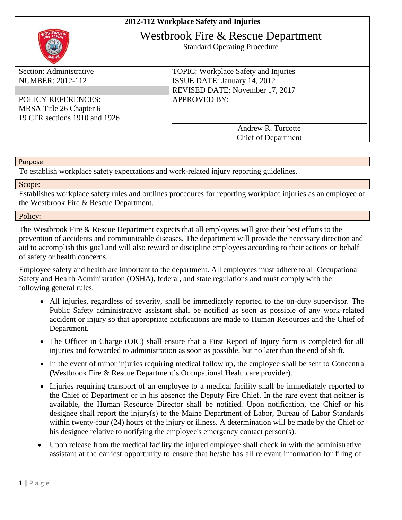## **2012-112 Workplace Safety and Injuries**



## Westbrook Fire & Rescue Department

Standard Operating Procedure

| Section: Administrative       | <b>TOPIC:</b> Workplace Safety and Injuries |
|-------------------------------|---------------------------------------------|
| NUMBER: 2012-112              | ISSUE DATE: January 14, 2012                |
|                               | REVISED DATE: November 17, 2017             |
| <b>POLICY REFERENCES:</b>     | <b>APPROVED BY:</b>                         |
| MRSA Title 26 Chapter 6       |                                             |
| 19 CFR sections 1910 and 1926 |                                             |
|                               | Andrew R. Turcotte                          |
|                               | <b>Chief of Department</b>                  |
|                               |                                             |

Purpose:

To establish workplace safety expectations and work-related injury reporting guidelines.

## Scope:

Establishes workplace safety rules and outlines procedures for reporting workplace injuries as an employee of the Westbrook Fire & Rescue Department.

Policy:

The Westbrook Fire & Rescue Department expects that all employees will give their best efforts to the prevention of accidents and communicable diseases. The department will provide the necessary direction and aid to accomplish this goal and will also reward or discipline employees according to their actions on behalf of safety or health concerns.

Employee safety and health are important to the department. All employees must adhere to all Occupational Safety and Health Administration (OSHA), federal, and state regulations and must comply with the following general rules.

- All injuries, regardless of severity, shall be immediately reported to the on-duty supervisor. The Public Safety administrative assistant shall be notified as soon as possible of any work-related accident or injury so that appropriate notifications are made to Human Resources and the Chief of Department.
- The Officer in Charge (OIC) shall ensure that a First Report of Injury form is completed for all injuries and forwarded to administration as soon as possible, but no later than the end of shift.
- In the event of minor injuries requiring medical follow up, the employee shall be sent to Concentra (Westbrook Fire & Rescue Department's Occupational Healthcare provider).
- Injuries requiring transport of an employee to a medical facility shall be immediately reported to the Chief of Department or in his absence the Deputy Fire Chief. In the rare event that neither is available, the Human Resource Director shall be notified. Upon notification, the Chief or his designee shall report the injury(s) to the Maine Department of Labor, Bureau of Labor Standards within twenty-four (24) hours of the injury or illness. A determination will be made by the Chief or his designee relative to notifying the employee's emergency contact person(s).
- Upon release from the medical facility the injured employee shall check in with the administrative assistant at the earliest opportunity to ensure that he/she has all relevant information for filing of